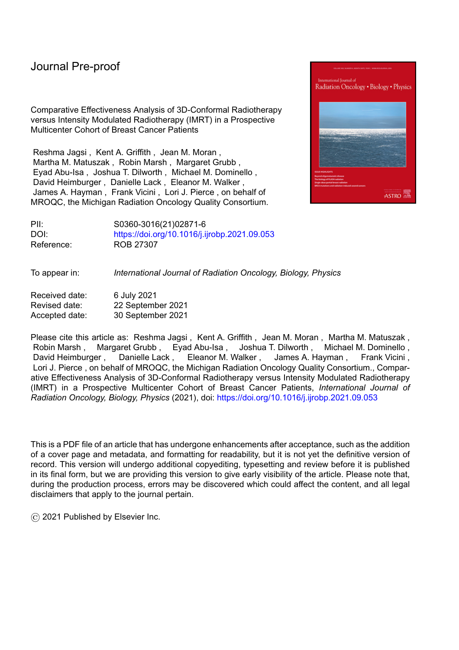# Journal Pre-proof

Comparative Effectiveness Analysis of 3D-Conformal Radiotherapy versus Intensity Modulated Radiotherapy (IMRT) in a Prospective Multicenter Cohort of Breast Cancer Patients

Reshma Jagsi , Kent A. Griffith , Jean M. Moran , Martha M. Matuszak , Robin Marsh , Margaret Grubb , Eyad Abu-Isa , Joshua T. Dilworth , Michael M. Dominello , David Heimburger , Danielle Lack , Eleanor M. Walker , James A. Hayman , Frank Vicini , Lori J. Pierce , on behalf of MROQC, the Michigan Radiation Oncology Quality Consortium.



PII: S0360-3016(21)02871-6 DOI: <https://doi.org/10.1016/j.ijrobp.2021.09.053> Reference: ROB 27307

To appear in: *International Journal of Radiation Oncology, Biology, Physics*

Received date: 6 July 2021 Revised date: 22 September 2021 Accepted date: 30 September 2021

Please cite this article as: Reshma Jagsi , Kent A. Griffith , Jean M. Moran , Martha M. Matuszak , Robin Marsh , Margaret Grubb , Eyad Abu-Isa , Joshua T. Dilworth , Michael M. Dominello , David Heimburger, Danielle Lack, Eleanor M. Walker, James A. Hayman, Frank Vicini, Lori J. Pierce , on behalf of MROQC, the Michigan Radiation Oncology Quality Consortium., Comparative Effectiveness Analysis of 3D-Conformal Radiotherapy versus Intensity Modulated Radiotherapy (IMRT) in a Prospective Multicenter Cohort of Breast Cancer Patients, *International Journal of Radiation Oncology, Biology, Physics* (2021), doi: <https://doi.org/10.1016/j.ijrobp.2021.09.053>

This is a PDF file of an article that has undergone enhancements after acceptance, such as the addition of a cover page and metadata, and formatting for readability, but it is not yet the definitive version of record. This version will undergo additional copyediting, typesetting and review before it is published in its final form, but we are providing this version to give early visibility of the article. Please note that, during the production process, errors may be discovered which could affect the content, and all legal disclaimers that apply to the journal pertain.

© 2021 Published by Elsevier Inc.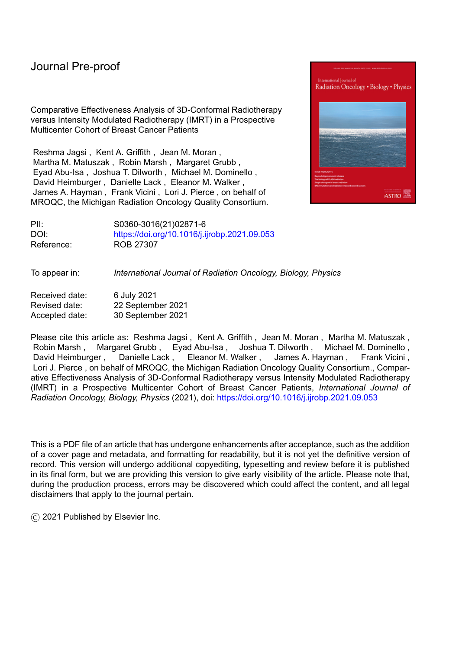**Comparative Effectiveness Analysis of 3D-Conformal Radiotherapy versus Intensity Modulated Radiotherapy (IMRT) in a Prospective Multicenter Cohort of Breast Cancer Patients** Reshma Jagsi<sup>1</sup>, Kent A. Griffith<sup>1</sup>, Jean M. Moran<sup>1</sup>, Martha M. Matuszak<sup>1</sup>, Robin Marsh<sup>1</sup>, Margaret Grubb<sup>1</sup>, Eyad Abu-Isa<sup>1,2</sup>, Joshua T. Dilworth<sup>3</sup>, Michael M. Dominello<sup>4</sup>, David Heimburger, Danielle Lack<sup>3</sup>, Eleanor M. Walker6, James A. Hayman1, Frank Vicini,*<sup>7</sup>* Lori J. Pierce1, on behalf of MROQC, the Michigan Radiation Oncology Quality Consortium.

*<sup>1</sup>University of Michigan, Ann Arbor, MI*

*<sup>2</sup>Providence Ascension, Novi, MI*

*<sup>3</sup>Beaumont Health, Royal Oak, MI*

*<sup>4</sup>Karmanos Cancer Center, Wayne State University, Detroit, MI*

*<sup>5</sup>Munson Healthcare, Traverse City, MI*

*<sup>6</sup>Henry Ford Health System, Detroit, MI*

*<sup>7</sup>GenesisCare, Farmington Hills, MI*

**Corresponding author:**

Reshma Jagsi, MD, DPhil

Department of Radiation Oncology

University of Michigan

1500 E. Medical Center Drive, Ann Arbor, MI 48109

Tel: (734) 936-4300, Fax: (734) 763-7370, ORCiD: 0000-0001-6562-1228

Email: rjagsi@med.umich.edu

Word count: 3698

**Author Disclosures**

### **Reshma Jagsi**

Employment: University of Michigan; NIH Advisory Committee for Research on Women's Health (special government employee)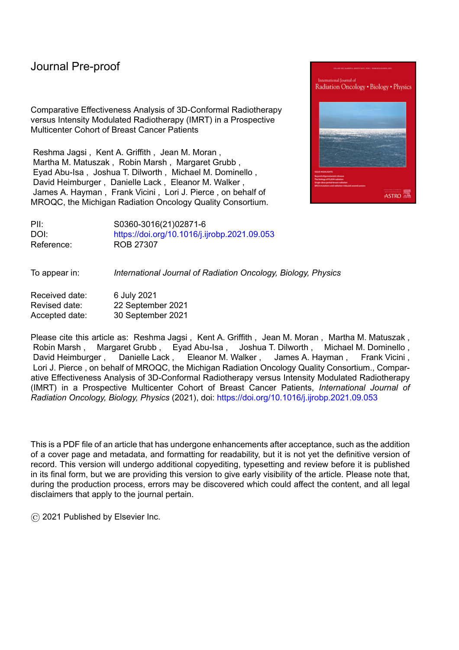### Journal Pre-proof

- Stock and Other Ownership Interests: Equity Quotient
- Consulting or Advisory Role: Doris Duke Charitable Foundation, Greenwall Foundation (both are nonprofits but listing for full disclosure)
- Research Funding: All to institution—Genentech, NIH, Doris Duke Charitable Foundation, Susan G. Komen Foundation
- Expert Testimony: Dressman Benziger Lavelle, Sherinian and Hasso
- Open Payments Link: https://openpaymentsdata.cms.gov/physician/373670/summary

## **Frank Vicini**

- Employment: 21st Century Oncology
- Consulting or Advisory Role: ImpediMed
- Travel, Accommodations, Expenses: PreludeDX-DCISionRT, Concure Oncology

## **Jean M. Moran**

- Research Funding: Varian Medical Systems
- Patents, Royalties, Other Intellectual Property: Patent pending
- Travel, Accommodations, Expenses: Sun Nuclear Corporation

## **Lori Pierce**

- Stock and Other Ownership Interests: PFS Genomics
- Patents, Royalties, Other Intellectual Property: UpToDate, PFS Genomics
- Open Payments Link: https://openpaymentsdata.cms.gov/physician/1250431/summary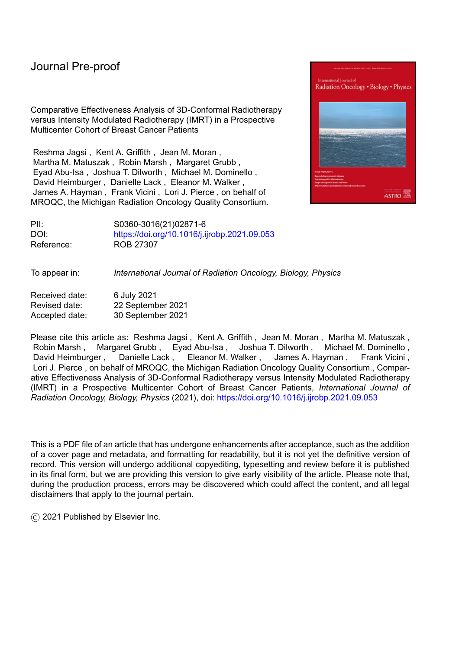# **Funding**

This work was supported by Blue Cross Blue Shield of Michigan and the Blue Care Network as part of the BCBSM Value Partnerships program. Dr. Jagsi's effort was supported by a grant from the Susan G. Komen Foundation.

**Role of the Funder**

The funders played no role in the design or conduct of the study; the collection, management, analysis, or interpretation of the data; the preparation, review, or approval of the manuscript; or the decision to submit the manuscript for publication.

# **Data Availability**

Data are owned by the local collaborating sites and therefore MROQC is not permitted to share the data used for this study.

# **Acknowledgements**

We acknowledge the essential contributions of the patients and the participating Michigan Radiation Oncology Quality Consortium (MROQC) institutions as well as funding support from Blue Cross Blue Shield of Michigan (BCBSM) for MROQC.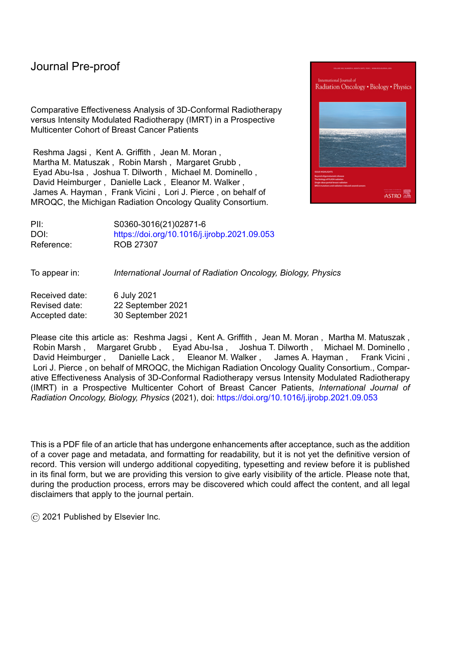## **ABSTRACT**

Purpose: Simple intensity modulation of radiation therapy reduces acute toxicity compared to twodimensional techniques in adjuvant breast cancer treatment, but it remains unknown whether more complex or inverse-planned intensity modulated radiotherapy (IMRT) offers an advantage over forwardplanned, three-dimensional conformal radiotherapy (3DCRT).

Methods and Materials: Using prospective data regarding patients receiving adjuvant whole breast RT without nodal irradiation at 23 institutions from 2011-2018, we compared incidence of acute toxicity (moderate-severe pain or moist desquamation) in patients receiving 3DCRT versus IMRT (either inverse planned or, if forward-planned, using 5 segments per gantry angle). We evaluated associations between technique and toxicity using multivariable models with inverse-probability-of-treatment weighting (IPTW), adjusting for treatment facility as a random effect.

Results: Of 1,185 patients treated with 3DCRT and conventional fractionation, 650 (54.9%) experienced acute toxicity; of 774 treated with highly-segmented forward-planned IMRT, 458 (59.2%) did; of 580 treated with inverse-planned IMRT, 245 (42.2%) did. Of 1,296 patients treated with hypofractionation and 3DCRT 432 (33.3%) experienced acute toxicity; of 709 treated with highly-segmented forwardplanned IMRT, 227 (32.0%) did; of 623 treated with inverse-planned IMRT, 164 (26.3%) did. On multivariable analysis with IPTW, the odds ratio for acute toxicity after inverse-planned IMRT versus 3DCRT was 0.64 (95% CI, 0.45-0.91) with conventional fractionation and 0.41 (95% CI, 0.26-0.65) with hypofractionation.

Conclusions: This large, prospective, multicenter comparative effectiveness study found a significant benefit from inverse-planned IMRT compared to 3DCRT in reducing acute toxicity of breast radiotherapy. Future research should identify the dosimetric differences that mediate this association and evaluate cost-effectiveness.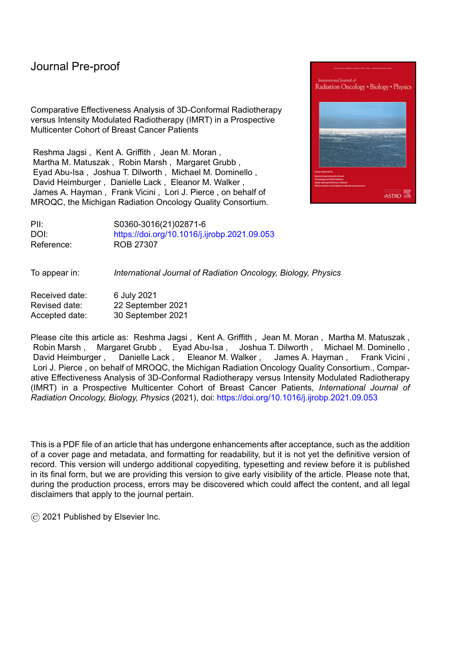**Introduction:**

The term "intensity modulated radiotherapy" or "IMRT" in breast cancer typically refers to the division of the radiation treatment beam delivered from any single angle into smaller subsegments that differ in intensity. This intensity modulation can be simple, involving only a few crude segments that can be planned by a human dosimetrist, or more complex (Supplemental Appendix Figure A1). At the extreme, it can involve pixel by pixel variation of small regions such as each square centimeter of a treatment field, requiring inverse treatment planning. Inverse planning can also be used to deliver simpler forms of segmentation.

Randomized trials evaluating simple IMRT in the adjuvant treatment of breast cancer after lumpectomy revealed significant reductions in toxicity with this approach, as compared to 2-dimensional treatment planning.<sup>1,2</sup> However, the IMRT approach evaluated in those studies was frequently forwardplanned and similar to what many U.S. centers would call 3-dimensional conformal radiotherapy (3DCRT), rather than IMRT, which in the U.S. has most frequently been defined by insurers as treatment involving the division of at least one beam into 5 or more segments and often involves inverse planning.

Because IMRT delivery fees have historically been considerably higher—at one point more than double the rate of 3DCRT in the Center for Medicare Services fee schedules3,4—stakeholders have wondered whether more complex IMRT is necessary to reduce toxicity or whether perhaps the use of 3DCRT might suffice. Unfortunately, given the rapid adoption of IMRT technology,<sup>5</sup> a randomized trial directly comparing 3DCRT to more sophisticated forms of IMRT has not been feasible in the US, although a Korean trial recently reported findings of reduced toxicity with IMRT among patients receiving conventionally fractionated breast radiotherapy. <sup>6</sup> Over the past decade, practice patterns have diverged considerably amongst institutions, 7,8,9 and comparison of these two approaches in real-world practice in the US remains a key question that must be answered to ensure appropriate direction of clinical practice.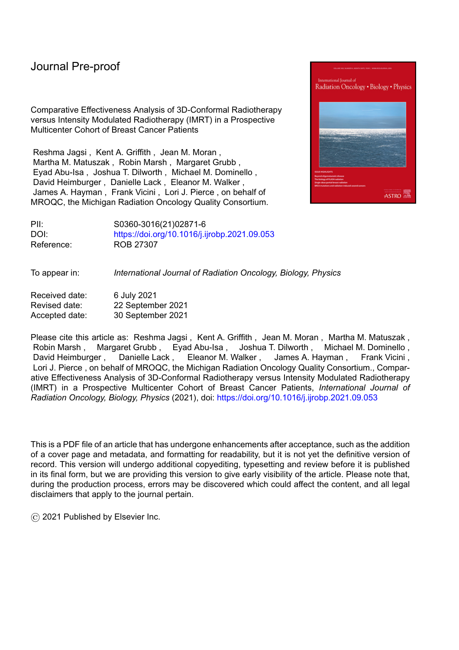Therefore, in 2011, with funding from [Anonymized for Review], we initiated a multicenter collaborative quality initiative, the [Anonymized for Review], with a primary objective of evaluating the impact of IMRT in patients with breast cancer and lung cancer. This manuscript reports the primary outcomes analysis of the large, prospective observational study that was designed to allow for meaningful comparative effectiveness analysis of 3DCRT versus more complex forms of IMRT for the treatment of breast cancer. Findings of the primary outcomes analysis in lung cancer will be presented separately. Our primary aims were to compare acute toxicity with each technique after controlling for relevant patient factors.

### **Methods:**

### *Data Collection and Sample*

We obtained IRB approval to collect prospectively a rich array of treatment planning data and physician assessments for all eligible patients treated at [Anonymized for Review] member institutions with whole breast radiotherapy, as part of a quality improvement initiative.<sup>10,11</sup> Eligible patients were those women being treated with adjuvant whole breast radiotherapy for non-metastatic, unilateral breast cancer without having breast implants at an [Anonymized for Review]-participating institution. We also obtained IRB approval to collect patient-reported data from those patients who consented to participate in weekly surveys while on treatment.

Our sample derived from the 8,228 breast cancer patients meeting analytic eligibility criteria who received adjuvant whole breast RT at 24 institutions participating in the [Anonymized for Review] between November 2011 and September 2018. Analytic eligibility criteria included having data sufficient to identify fraction size, treatment technique (number of segments per beam and inverse versus forward planning) and submission of a composite treatment dose-volume histogram (DVH) for the breast. We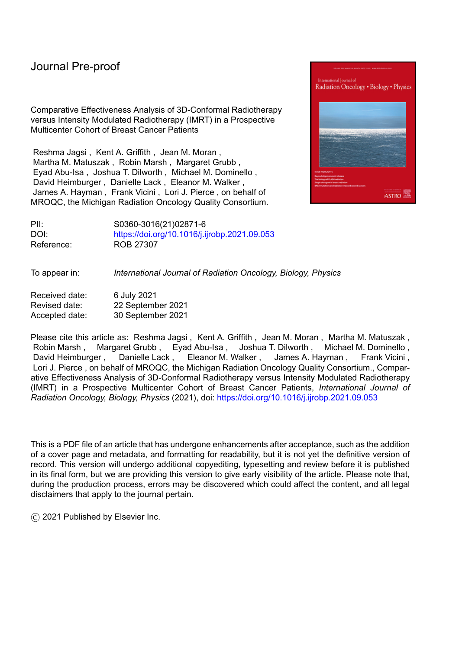required that all patients included in the analytic sample have an end of treatment toxicity assessment (+/- 7 days from date of last fraction). We further limited this sample to similarly treated cases, defined as receiving a boost, without nodal treatment, and treated in the supine position for breast and boost treatment. Finally we required at least 10 analytically eligible cases from each treating institution, resulting in the exclusion of 9 patients from one institution from the analytic sample, with the smallest remaining institutional contribution 22 cases and the largest contribution 471.

We considered 5,167 cases in total: 2,539 patients treated with conventional fractionation and 2,628 treated with hypofractionation (defined as utilizing a dose per fraction greater than 2.0 Gy)12. Figure 1 details the flow of patients into the analytic sample.

### *Measures*

The primary, pre-defined outcome measure was clinically meaningful acute toxicity, defined using the maximum value recorded on any on-treatment weekly evaluation or the end-of-treatment evaluation. Clinically meaningful acute toxicity was defined ex ante to include either moderate to severe pain or moist desquamation. Pain was primarily patient-reported, using an approved modification of the Brief Pain Inventory,13,14 in 3,947 cases (76.4%), and physician-reported using the CTCAE scale in the 1,220 (23.6%) cases where patient self-report was not provided. Moist desquamation was physician-reported, using a single item assessing presence or absence of any moist desquamation.

The primary independent variable of interest was treatment technique. Treatment technique was defined as 3DCRT versus two forms of IMRT. All patients treated with inverse planning were grouped together and categorized as having received inverse-planned IMRT. Those treated with forward planning were categorized as having received highly-segmented forward-planned IMRT if there was use of 5 or more segments per any unique gantry angle for the primary breast plan; the remainder were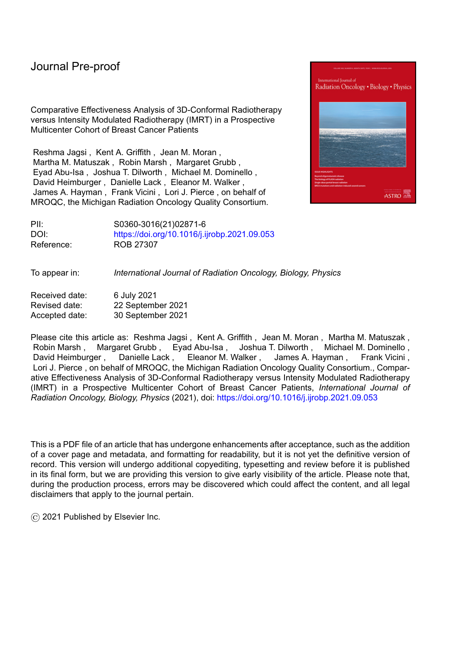categorized as receiving 3DCRT (see Figure 2 for the distributions of treatment techniques by treating facility).

Covariates used for the creation of propensity scores for adjustment in the multivariable models were: age, race (White, Black, or other), hypertension, diabetes, BMI, chemotherapy receipt, whether institution was an academic center (trains residents or fellows), separation distance (the distance separating the entry points of typical tangential beams at midline and midaxillary line, which reflects an aspect of the patient's body habitus that influences the dose homogeneity of radiation treatment), breast volume, and D50 to the treated region (the maximum dose delivered to 50% of the target volume, which serves as a proxy for differences in dose prescription).

### *Statistical Analysis*

We first described the study sample, separately for patients treated with conventional fractionation and those treated with hypofractionation, given prior work suggesting that these two groups had substantially different rates of acute toxicity.15,16 We described the incidence of acute toxicity and evaluated the observed, unadjusted association between technique and toxicity in this unweighted sample.

Next, we developed propensity scores, in order to allow for analyses using the Inverse Probability of Treatment Weighting (IPTW), whereby each patient is weighted by the inverse of the probability of the treatment actually received (effectively up-weighting cases that had a low probability of receiving the treatment that was actually received). The propensity scores were calculated from a standard multinomial regression model predicting which treatment technique was received, using all of the covariates listed above. The goal of this propensity score creation and use of IPTW was to create weighted samples by treatment received that have balanced external covariates, a statistical method to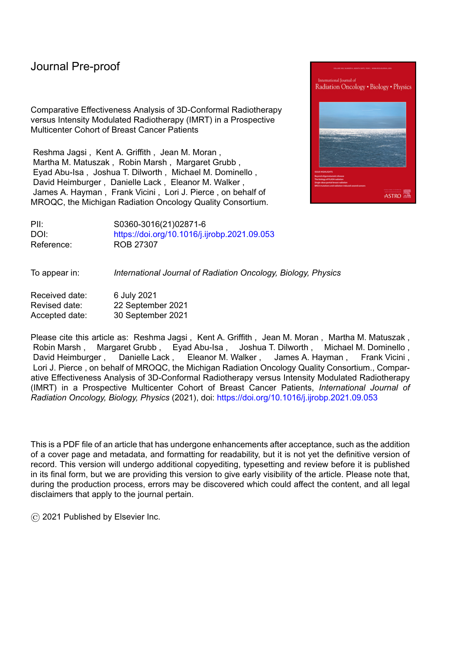make observational data resemble a randomized controlled trial.<sup>17</sup> By balancing these important covariates through weighting, an unbiased and unconfounded comparison by treatment received could then be made.

Next, we estimated models using the IPTW sample. Specifically, we developed generalized linear models for the binary outcome of acute toxicity using the logit link for the binomial distribution in order to determine the association with treatment technique, estimated as odds ratios, in each fractionation subgroup separately, after adjustment for all covariates and including the institution of treatment as a random effect (which adjusts for differences in outcome related to clustering of patients within each treating facility). Finally, we conducted a sensitivity analysis that further subdivided the inverse-planned cases into two subgroups (those with 5 segments per any unique gantry angle and those with <5 segments for all unique gantry angles).

In addition to analyses focused on the ex ante predefined primary endpoint, we also evaluated the frequency of two additional endpoints: Grade 3 toxicity as measured by the CTCAE and toxicity-related treatment breaks, using IPTW for weighting of percentages and p-values for comparisons among the three treatment groups.

### **Results:**

Table 1 shows the characteristics of the analyzed sample by fractionation. Mean age was 58.5 years for the conventionally fractionated sample and 62.5 years for the hypofractionated sample. Numerous measured covariates differed between patients treated with 3DCRT, those treated with highlysegmented forward planning, and those treated with inverse IMRT within each fractionation subset. As expected, these imbalances were much less after application of IPTW (see Supplemental Appendix Table A1).

9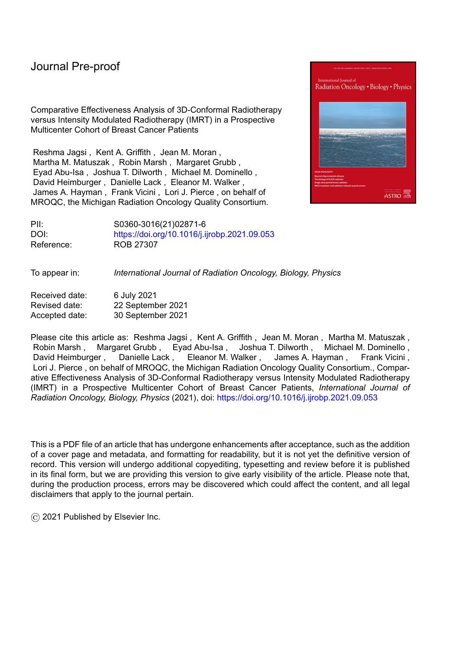Of the 1,185 patients treated with 3DCRT and conventional fractionation, 650 (54.9%) experienced acute toxicity; of 774 treated with highly-segmented forward-planned IMRT, 458 (59.2%) did; of 580 treated with inverse-planned IMRT, 245 (42.2%) did. Of 1,296 patients treated with hypofractionation and 3DCRT 432 (33.3%) experienced acute toxicity; of 709 treated with highlysegmented forward-planned IMRT, 227 (32.0%) did; of 623 treated with inverse-planned IMRT, 164 (26.3%) did. As noted in the methods, the acute toxicity endpoint included patient reports of pain where available (81.9% of conventionally fractionated cases treated with 3DCRT, 76.0% treated of conventionally fractionated cases treated with highly segmented forward-planned IMRT, 76.0% of conventionally fractionated cases treated with inverse planned IMRT cases; 78.9% of hypofractionated cases treated with 3DCRT, 66.6% of hypofractionated cases treated highly segmented forward-planned IMRT, and 73.4% of hypofractionated cases treated with inverse planned IMRT). For the other patients, acute toxicity was entirely based on physician reports.

Table 2 shows the results of models, including a crude unadjusted comparison and then three multivariable models using the IPTW sample: one with weighting alone, one adding covariates, and a final adding hospital site as a random effect. As shown in the table, in certain models in the hypofractionated sample, there was a significant benefit from highly-segmented IMRT, but the clearest difference was between inverse-planned IMRT and 3DCRT, which was observed in all models.

The Forest plots in Figures 3 and 4 detail the final models. In those models, the odds ratio for acute toxicity after inverse-planned IMRT as compared to 3DCRT was 0.64 (95% CI, 0.45-0.91) in patients receiving conventional fractionation and 0.41 (95% CI, 0.26-0.65) in patients receiving hypofractionation. On sensitivity analysis that subdivided the inverse-planned cases into two subgroups based on number of segments, findings were consistent in both magnitude and direction when each of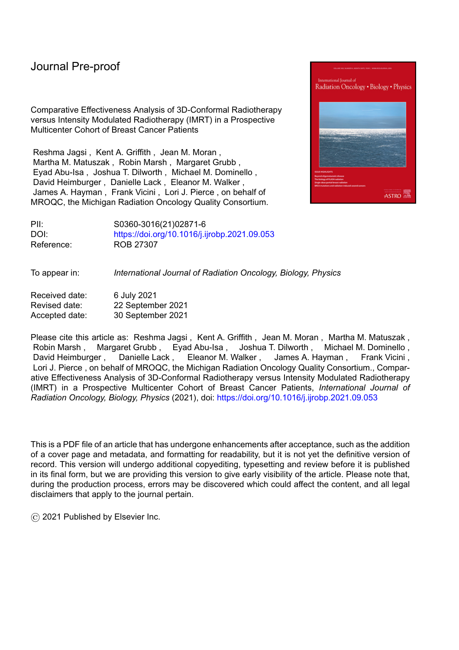these subgroups was compared to 3DCRT, both in patients receiving conventional fractionation and those receiving hypofractionation, suggesting that our primary approach of pooling the inverse-planned cases in a single category for analysis was appropriate.

Extremely severe toxicity was rare in all groups. For hypofractionated cases, CTCAE Grade 3 radiation dermatitis occurred in 0.7% of patients treated with 3DCRT, 0.2% of those treated with highly segmented forward-planned IMRT, and 0% of those treated with inverse-planned IMRT (p=0.026). For conventionally fractionated cases, CTCAE Grade 3 radiation dermatitis occurred in 2.4% of pts treated with 3DCRT, 1.8% of those treated with highly segmented forward-planned IMRT, and 1.6% of those treated with IMRT (p=0.443). Similarly, treatment breaks due to toxicity were rare in either fractionation group. For hypofractionated cases, toxicity related treatment breaks occurred in 0.3% receiving 3DCRT, 0% of those receiving highly segmented forward-planned IMRT, and 0.8% of those receiving inverseplanned IMRT (p=0.053). In conventionally fractionated cases, toxicity related treatment breaks occurred in 5.0% of patients treated with 3DCRT, 2.1% of those treated with highly segmented forwardplanned IMRT, and 3.6% of those treated with IMRT (p=0.003). Note that the percentages and p-values presented here were weighted by IPTW.

### **Discussion:**

In this large, prospective, multicenter comparative effectiveness analysis, we observed a statistically significant overall benefit from the use of inverse-planned IMRT as compared to 3DCRT in adjuvant whole breast radiotherapy. The observed benefit was modest in magnitude, but it reflected a difference in a measure of acute toxicity (moderate or severe pain or moist desquamation) that was intentionally defined a priori to be clinically meaningful. As in prior studies, toxicity was less common in patients who received hypofractionation, but even in this group, there was a significant additional reduction of acute toxicity from the use of inverse planned IMRT. Our findings suggest that the use of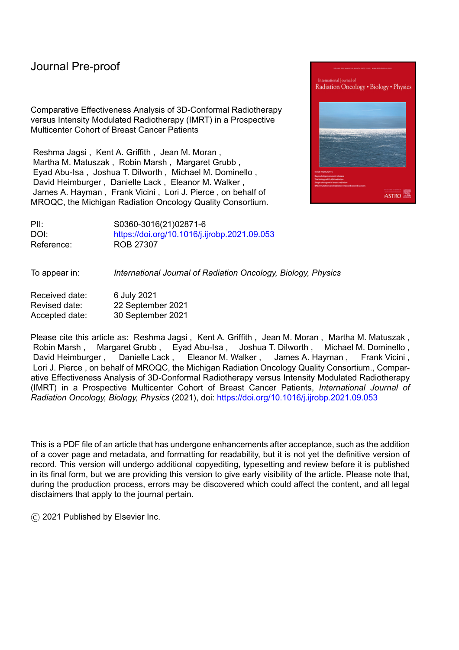inverse planning may help to minimize the acute toxicity of treatment. These findings must be considered in the context of the evolving costs associated with more complex treatment planning and delivery, with important implications for clinical practice and policy.

The current study findings complement and extend the results of other studies investigating the optimal approach for whole breast radiotherapy. As noted earlier, prior randomized trials compared simpler forms of forward-planned intensity modulation to 2-dimensional treatment planning and demonstrated clinically significant benefits, as also demonstrated in observational studies. <sup>18</sup> In a Canadian trial in 358 patients, fewer who were treated with simple IMRT experienced moist desquamation (31.2% with IMRT vs 47.8%,  $p = .002$ ). In a large British trial of 1145 patients, those randomized to forward-planned simple IMRT were less likely to have suboptimal overall cosmesis (OR on multivariable modeling 0.65; p= .038) or skin telangiectasia (OR, 0.57; p=.031) at 5 years. The majority of studies have focused on using IMRT (forward or inversely planned) to decrease the percent of breast tissue receiving >107% dose while increasing the proportion of the target volume receiving 95% of the prescription dose.

Several observational studies with smaller sample sizes have compared IMRT delivery (with either forward or inverse-planning) to 3DCRT.<sup>19,20</sup> One such study considered patients treated in the prone position with moderate hypofractionation, comparing dosimetric parameters and outcomes in 57 patients who received IMRT delivery (which was used when insurers agreed to reimburse for it) to those in 40 patients who received 3D-CRT (because their insurers refused coverage for IMRT). In that study, the delivery was a combination of 3D tangents (67% of the dose) and inverse-planned intensity modulated fields (33%), which not only affected dosimetric parameters such as maximum dose and dose homogeneity but was also associated with a reduced frequency of Grade 2 dermatitis (13% vs 2%). 20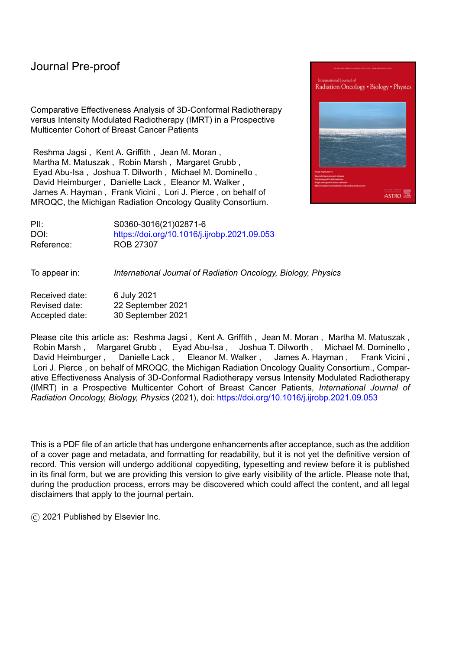Recently, results emerged from KROG 15-03, a randomized trial of conventionally fractionated IMRT in 1.8 Gy fractions to the whole breast with simultaneous integrated boost versus conventionally fractionated 3DCRT with sequential boost. Consistent with the observations in the current study, the trial showed lower skin toxicity with IMRT and no difference in locoregional recurrence. Specifically, the incidence of grade 2 dermatitis as assessed by clinicians was significantly lower in the IMRT arm (37.1% vs. 27.8%; p = 0.009). Our study complements this trial by offering evidence from a variety of practice settings in the United States, incorporating patient-reported outcomes, and including patients treated with hypofractionation. The consistent findings of our carefully controlled observational comparative effectiveness study, optimized for generalizability to real-world practice in the United States, and this recent randomized trial, optimized for causal inference, are compelling.

When IMRT was first developed, substantial additional costs and resources were required for its delivery. Over time, these differences have decreased, thanks to efforts to develop and disseminate both simple IMRT techniques<sup>21,22</sup> and more complex but efficient approaches.<sup>23</sup> Nevertheless, differences in fee schedules for reimbursement of radiation therapy using different techniques have led both to concerns about the possible *over*use of IMRT in the United States, driven by higher reimbursement, and also concerns about how the lack of nuance in billing codes might potentially stifle innovation and drive *under*use of IMRT, due to a desire to responsibly steward resources. <sup>24</sup> Although current Medicare fee schedules no longer reimburse IMRT at dramatically higher rates than 3DCRT and bundled payments will soon be explored at some sites, payments by some private insurers diverge considerably even today. Ultimately, whether to recommend widespread use of more complex forms of IMRT for whole breast irradiation requires weighing the likelihood and magnitude of expected benefit against costs, further informed by patient preferences and societal values. Given the greater efficiency with which IMRT can now be delivered, if societal costs can be aligned more closely with actual planning and delivery costs, use of IMRT may indeed be preferred in light of the recent Korean trial and the findings of the present study,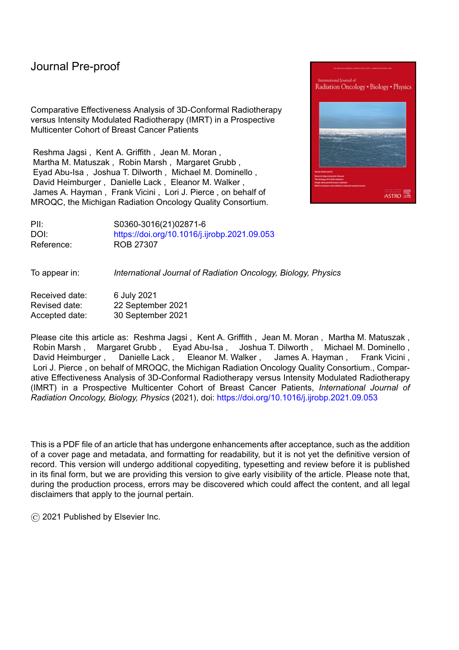which together offer strong evidence of a modest incremental benefit of inverse-planned IMRT, even when compared to high quality 3DCRT and even when delivered in the setting of moderate hypofractionation, which itself reduces the likelihood of toxicity. That said, rates of extremely severe toxicity, such as Grade 3 events or those requiring treatment breaks, are quite rare regardless of technique in this sample.

Current consensus guidelines emphasize the utility of standardizing dosimetric goals in treatment planning.25 Further research is necessary to understand the dosimetric differences between the IMRT and 3D plans in this dataset that may have led to the difference in toxicity observed in this study. Prior work has suggested that limiting V105% may be helpful in larger breasted patients treated with hypofractionation.<sup>26</sup> In addition, dose to the skin<sup>27</sup> and/or to the superficial rind of tissue closest to skin surface may be important and can be more closely controlled with inverse planning.28 Additional studies to define criteria for optimizing treatment planning based on the rich dosimetric information available through the [Anonymized for Review] collaborative are now underway. Particularly if the societal costs of delivering 3DCRT and IMRT remain meaningfully different, such work will be especially important to help guide selection of patients in whom dosimetric goals can be met using 3DCRT and those in whom the use of IMRT is necessary. As Vicini et al. noted, "We must move away from the notion of IMRT as a modality and focus on what it allows us to do." 23

Our study has numerous strengths, including its inclusion of multiple centers with varying rates of IMRT use, a diverse patient population, and real-world data reported by both clinicians and patients along with treatment planning information with greater detail than available through any other registry of this scale to our knowledge. However, it also has limitations. Causal inference from observational data is notoriously fraught with difficulties,<sup>29,30</sup> and although we applied sophisticated analytic techniques to minimize the impact of treatment selection bias, unmeasured confounding factors may still have exerted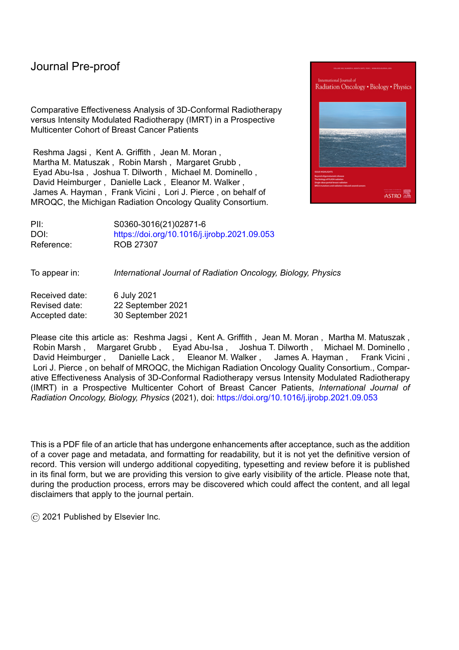influence on our results. However, given the consistent findings of the one randomized trial to investigate this important question that was recently reported from Korea and the low likelihood that such trials will ever be conducted in the United States, we believe our findings represent key real-world evidence to guide clinical practice and policies in this context in the United States. Our study represented real-world practice, but this also resulted in non-trivial amounts of missing data, which may also introduce biases. Where patient reports of pain were missing, we relied on physician reports, which are not as sensitive. In addition, our analyses were based on patients treated in centers in the state of [Anonymized for Review]. Our findings should not be extrapolated to settings where the quality of radiotherapy care diverges substantially from that which is delivered in [Anonymized for Review] or where IMRT approaches differ substantially or are defined differently from those used by centers in the current study.

Of note, our study focused exclusively on acute toxicity. Although late soft tissue effects such as fibrosis in this setting may well be consequential to severe acute toxicity, they may also develop unexpectedly. Moreover, long-term outcomes, including disease control and late toxicities of other organs that may receive incidental irradiation, are important subjects for future research. It may be particularly important to utilize IMRT techniques that limit the amount of low-dose RT to the lungs and contralateral breast,<sup>31</sup> as this exposure may have consequences for late toxicity and second malignancy. 32 Our study focused on the use of IMRT to reduce skin toxicity in node-negative patients; however, inverseplanned IMRT may also be used to reduce dose to critical normal structures, including the heart.33,34,35,36 On the other hand, certain techniques of IMRT may actually increase dose to underlying organs, including the heart and lungs, and an improvement in acute toxicity at the cost of higher doses to such regions would not be an appropriate tradeoff; further dosimetric analyses are ongoing to evaluate that concern. With different dose fractionation schemas used, it is also relevant to investigate toxicity as a function of the biologically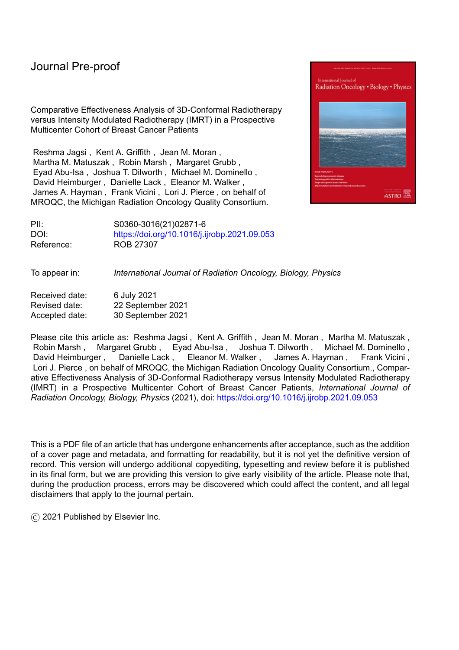equivalent dose in 2 Gy fractions. Further research is necessary to evaluate the impact of IMRT in the setting of node-positive disease for the purposes of cardiac avoidance. 4

What have we learned from this large-scale, prospective observational analysis of comparative effectiveness of IMRT versus 3DCRT in the management of breast cancer? First, there appears to be a modest but significant benefit in the reduction of acute toxicity from the use of more complex forms of IMRT as compared to 3DCRT in the overall patient population as treated in real-world settings in [Anonymized for Review], regardless of whether conventional fractionation or hypofractionation is employed. Second, choice of fractionation affects acute toxicity far more than choice of technique. These observations have important implications. Creative efforts to promote appropriate use of moderate hypofractionation remain most essential,<sup>11,37,38</sup> particularly given early observations of slow uptake of that approach.<sup>39,40</sup> Interestingly, IMRT was adopted more quickly—even prior to evidence of its benefit—than hypofractionation.<sup>5</sup> The present study suggests that uptake of both approaches would minimize rates of acute toxicity, but clinical policy must consider differences in costs as well. Further research is necessary to define dosimetric goals to determine which patients require IMRT and to optimize patient outcomes and standardize techniques in this context. Further research is also necessary to evaluate long-term outcomes and to define the role of IMRT in patients being treated with regional nodal irradiation. 41,42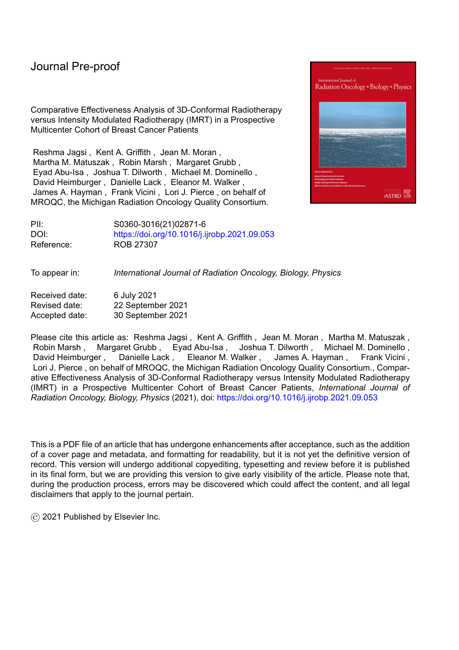# **Figure Legends**

Figure 1: Flow of patients into the study sample This figure shows how patients were selected for inclusion in the analytic sample.

Figure 2: Distribution of the use of the treatment techniques by enrolling site. This figure shows the use of the three forms of treatment (3DCRT, highly-segmented forward-planned IMRT, and inverse-planned IMRT) in patients treated with each fractionation approach.

Figure 3: Forest Plot of Multivariable Model of Acute Toxicity Among Patients Treated with Conventional **Fractionation** 

Using the inverse-probability-of-treatment-weighted sample of patients treated with conventional fractionation, this model considers the binary outcome of acute toxicity (having moist desquamation or moderate or severe pain) using the logit link for the binomial distribution in order to determine the association with treatment technique, estimated as odds ratios, after adjustment for all covariates and including the institution of treatment as a random effect.

Figure 4: Forest Plot of Multivariable Model of Acute Toxicity Among Patients Treated with Hypofractionation.

Using the inverse-probability-of-treatment-weighted sample of patients treated with hypofractionation, this model considers the binary outcome of acute toxicity (having moist desquamation or moderate or severe pain) using the logit link for the binomial distribution in order to determine the association with treatment technique, estimated as odds ratios, after adjustment for all covariates and including the institution of treatment as a random effect.

17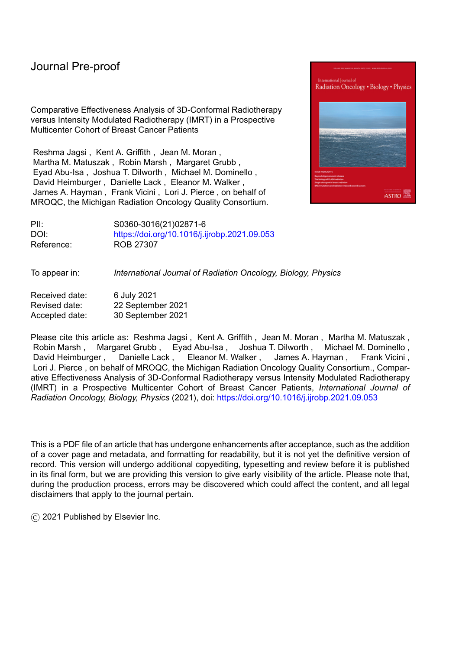# Table 1a: Sample characteristics

| Conventionally Fractionated (N=2539)           |                   |                         |                     |                                                                |                                                    |  |
|------------------------------------------------|-------------------|-------------------------|---------------------|----------------------------------------------------------------|----------------------------------------------------|--|
| <b>Variable/Level</b>                          | <b>Statistics</b> | <b>Total Population</b> | 3DCRT<br>$(N=1185)$ | <b>Highly-Segmented</b><br><b>Forward Planned</b><br>$(N=774)$ | <b>Inverse-Planned</b><br><b>IMRT</b><br>$(N=580)$ |  |
| Age (years):                                   | Mean (SD)         | 58.5 (10.47)            | 58.41 (10.42)       | 59.15 (10.35)                                                  | 57.85 (10.71)                                      |  |
| Race: White                                    | N(%)              | 1938 (76.33)            | 992 (83.71)         | 495 (63.95)                                                    | 451 (77.76)                                        |  |
| <b>Black</b>                                   | N(%)              | 465 (18.31)             | 144(12.15)          | 244 (31.52)                                                    | 77(13.28)                                          |  |
| Other                                          | N(%)              | 136(5.36)               | 49 (4.14)           | 35(4.52)                                                       | 52 (8.97)                                          |  |
| Hypertension: No                               | N(%)              | 1500 (59.08)            | 749 (63.21)         | 416 (53.75)                                                    | 335 (57.76)                                        |  |
| Yes                                            | N(%)              | 1039 (40.92)            | 436 (36.79)         | 358 (46.25)                                                    | 245 (42.24)                                        |  |
| Diabetes: No                                   | N(%)              | 2188 (86.18)            | 1030 (86.92)        | 653 (84.37)                                                    | 505 (87.07)                                        |  |
| Yes                                            | N(%)              | 351 (13.82)             | 155 (13.08)         | 121(15.63)                                                     | 75 (12.93)                                         |  |
| Smoking Status: Never                          | N(%)              | 1476 (58.13)            | 707 (59.66)         | 430 (55.56)                                                    | 339 (58.45)                                        |  |
| Former                                         | N(%)              | 758 (29.85)             | 354 (29.87)         | 235 (30.36)                                                    | 169(29.14)                                         |  |
| Current                                        | N(%)              | 305 (12.01)             | 124(10.46)          | 109 (14.08)                                                    | 72 (12.41)                                         |  |
| Hormone therapy: Missing                       | N(%)              | 26(1.02)                | 19(1.60)            | 3(0.39)                                                        | 4(0.69)                                            |  |
| N <sub>0</sub>                                 | N(%)              | 909 (35.80)             | 408 (34.43)         | 288 (37.21)                                                    | 213 (36.72)                                        |  |
| Yes                                            | N(%)              | 1604 (63.17)            | 758 (63.97)         | 483 (62.40)                                                    | 363 (62.59)                                        |  |
| Chemotherapy: Missing                          | N(%)              | 13(0.51)                | 11(0.93)            | 2(0.26)                                                        |                                                    |  |
| No                                             | N(%)              | 1632 (64.28)            | 794 (67.00)         | 476 (61.50)                                                    | 362 (62.41)                                        |  |
| Yes                                            | N(%)              | 894 (35.21)             | 380 (32.07)         | 296 (38.24)                                                    | 218 (37.59)                                        |  |
| Group Stage: 0                                 | N(%)              | 579 (22.80)             | 293 (24.73)         | 167(21.58)                                                     | 119(20.52)                                         |  |
| $\mathbf{1}$                                   | N(%)              | 1336 (52.62)            | 616 (51.98)         | 418 (54.01)                                                    | 302 (52.07)                                        |  |
| $\overline{c}$                                 | N(%)              | 612(24.10)              | 270 (22.78)         | 186 (24.03)                                                    | 156 (26.90)                                        |  |
| 3                                              | $N$ $(\%)$        | 12(0.47)                | 6(0.51)             | 3(0.39)                                                        | 3(0.52)                                            |  |
| Separation Distance (cm):                      | Mean (SD)         | 23.21 (3.92)            | 22.69 (3.82)        | 24.12 (4.04)                                                   | 23.07 (3.76)                                       |  |
| <b>BMI</b> Category:<br>Underweight/Normal <25 | N(%)              | 622 (24.50)             | 318 (26.84)         | 146 (18.86)                                                    | 158 (27.24)                                        |  |
| Overweight 25-<30                              | N(%)              | 673 (26.51)             | 308 (25.99)         | 193 (24.94)                                                    | 172 (29.66)                                        |  |
| Obesity I $30 - 35$                            | N(%)              | 580 (22.84)             | 274 (23.12)         | 174 (22.48)                                                    | 132(22.76)                                         |  |
| Obesity II 35-<40                              | N(%)              | 357 (14.06)             | 158 (13.33)         | 134 (17.31)                                                    | 65(11.21)                                          |  |
| Obesity III >40                                | N(%)              | 307 (12.09)             | 127(10.72)          | 127(16.41)                                                     | 53 (9.14)                                          |  |
| Breast total volume (cc):                      | Mean (SD)         | 1194.51 (832.46)        | 1113.06 (599.38)    | 1340.9 (1118.39)                                               | 1165.57 (768.17)                                   |  |
| D50 Breast (Gy):                               | Mean (SD)         | 51.23 (3.55)            | 51.45 (3.25)        | 51.59 (3.53)                                                   | 50.32 (4.00)                                       |  |
| <b>Treatment Facility Academic:</b><br>No      | N(% )             | 1726 (67.98)            | 958 (80.84)         | 505 (65.25)                                                    | 263 (45.34)                                        |  |
| Yes                                            | N(%)              | 813 (32.02)             | 227 (19.16)         | 269 (34.75)                                                    | 317 (54.66)                                        |  |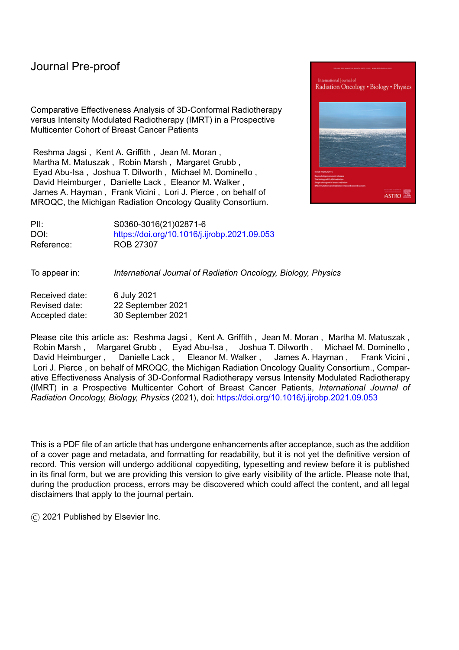| Hypofractionated (N=2628)                      |                   |                         |                     |                                                                |                                              |  |  |
|------------------------------------------------|-------------------|-------------------------|---------------------|----------------------------------------------------------------|----------------------------------------------|--|--|
| <b>Variable/Level</b>                          | <b>Statistics</b> | <b>Total Population</b> | 3DCRT<br>$(N=1296)$ | <b>Highly-Segmented</b><br><b>Forward-Planned</b><br>$(N=709)$ | Inverse-<br><b>Planned IMRT</b><br>$(N=623)$ |  |  |
| Age (years):                                   | Mean (SD)         | 62.53(10.03)            | 62.27 (9.82)        | 63.7 (10.04)                                                   | 61.72 (10.34)                                |  |  |
| Race: White                                    | N(%)              | 2094 (79.68)            | 1157 (89.27)        | 443 (62.48)                                                    | 494 (79.29)                                  |  |  |
| <b>Black</b>                                   | N(%)              | 395 (15.03)             | 84 (6.48)           | 232 (32.72)                                                    | 79 (12.68)                                   |  |  |
| Other                                          | N(%)              | 139 (5.29)              | 55 (4.24)           | 34 (4.80)                                                      | 50(8.03)                                     |  |  |
| Hypertension: No                               | N(%)              | 1729 (65.79)            | 904 (69.75)         | 424 (59.80)                                                    | 401 (64.37)                                  |  |  |
| Yes                                            | N(%)              | 899 (34.21)             | 392 (30.25)         | 285 (40.20)                                                    | 222 (35.63)                                  |  |  |
| Diabetes: No                                   | N(%)              | 2342 (89.12)            | 1180 (91.05)        | 600 (84.63)                                                    | 562 (90.21)                                  |  |  |
| Yes                                            | N(%)              | 286 (10.88)             | 116 (8.95)          | 109 (15.37)                                                    | 61 (9.79)                                    |  |  |
| Smoking Status: Never                          | N(%)              | 1502 (57.15)            | 770 (59.41)         | 391 (55.15)                                                    | 341 (54.74)                                  |  |  |
| Former                                         | N(%)              | 829 (31.54)             | 396 (30.56)         | 225 (31.73)                                                    | 208 (33.39)                                  |  |  |
| Current                                        | N(%)              | 297 (11.30)             | 130(10.03)          | 93 (13.12)                                                     | 74 (11.88)                                   |  |  |
| Hormone therapy: Missing                       | N(%)              | 27(1.03)                | 14 (1.08)           | 4(0.56)                                                        | 9(1.44)                                      |  |  |
| N <sub>0</sub>                                 | N(%)              | 843 (32.08)             | 442 (34.10)         | 188 (26.52)                                                    | 213 (34.19)                                  |  |  |
| Yes                                            | N(%)              | 1758 (66.89)            | 840 (64.81)         | 517 (72.92)                                                    | 401 (64.37)                                  |  |  |
| Chemotherapy: Missing                          | N(%)              | 7(0.27)                 | 5(0.39)             | 2(0.28)                                                        |                                              |  |  |
| No                                             | N(%)              | 2206 (83.94)            | 1065 (82.18)        | 606 (85.47)                                                    | 535 (85.87)                                  |  |  |
| Yes                                            | N(%)              | 415 (15.79)             | 226 (17.44)         | 101(14.25)                                                     | 88 (14.13)                                   |  |  |
| Group Stage: 0                                 | N(%)              | 596 (22.68)             | 260 (20.06)         | 168 (23.70)                                                    | 168 (26.97)                                  |  |  |
| $\mathbf{1}$                                   | N(% )             | 1567 (59.63)            | 821 (63.35)         | 425 (59.94)                                                    | 321 (51.52)                                  |  |  |
| $\sqrt{2}$                                     | $N(\%)$           | 462 (17.58)             | 213 (16.44)         | 115 (16.22)                                                    | 134 (21.51)                                  |  |  |
| 3                                              | $N(\%)$           | 3(0.11)                 | 2(0.15)             | 1(0.14)                                                        |                                              |  |  |
| Separation Distance (cm):                      | Mean (SD)         | 22.54 (3.50)            | 21.98 (3.22)        | 23.26 (3.49)                                                   | 22.87 (3.88)                                 |  |  |
| <b>BMI</b> Category:<br>Underweight/Normal <25 | N(%)              | 728 (27.70)             | 398 (30.71)         | 140 (19.75)                                                    | 190 (30.50)                                  |  |  |
| Overweight 25-<30                              | N(%)              | 863 (32.84)             | 457 (35.26)         | 214 (30.18)                                                    | 192 (30.82)                                  |  |  |
| Obesity I 30-<35                               | N(%)              | 576 (21.92)             | 264 (20.37)         | 180 (25.39)                                                    | 132 (21.19)                                  |  |  |
| Obesity II 35-<40                              | $N(\%)$           | 275 (10.46)             | 106(8.18)           | 111 (15.66)                                                    | 58 (9.31)                                    |  |  |
| Obesity III >40                                | N(%)              | 186 (7.08)              | 71 (5.48)           | 64 (9.03)                                                      | 51 (8.19)                                    |  |  |
| Breast total volume (cc):                      | Mean (SD)         | 1038.83 (561.61)        | 944.86 (479.10)     | 1147.88 (592.33)                                               | 1110.2 (646.37)                              |  |  |
| D50 Breast (Gy):                               | Mean (SD)         | 45.18 (2.39)            | 44.76 (2.23)        | 45.55 (2.59)                                                   | 45.65(2.33)                                  |  |  |
| Treatment Facility Academic:<br>No             | N(%)              | 1553 (59.09)            | 1075 (82.95)        | 398 (56.14)                                                    | 80 (12.84)                                   |  |  |
| Yes                                            | N(%)              | 1075 (40.91)            | 221 (17.05)         | 311 (43.86)                                                    | 543 (87.16)                                  |  |  |

# Table 1b: Sample characteristics (continued/part 2 of table)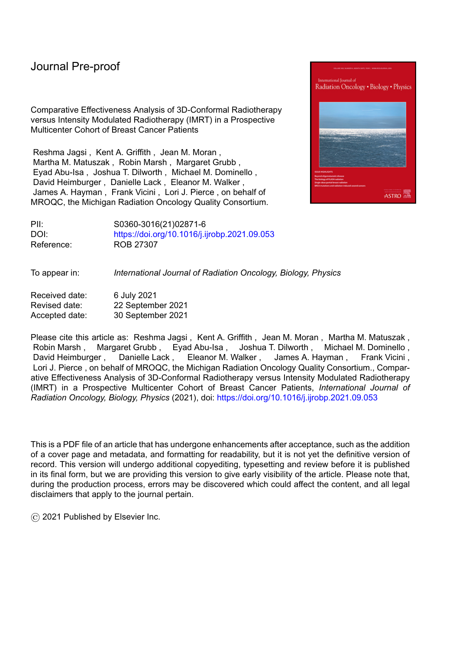|                                                             | <b>Proportion Composite Acute Radiation-induced toxicity</b> |                                                                                                   |                                | <b>Odd Ratios and 95% Confidence Intervals</b> |                  |  |  |
|-------------------------------------------------------------|--------------------------------------------------------------|---------------------------------------------------------------------------------------------------|--------------------------------|------------------------------------------------|------------------|--|--|
| <b>Models/Population</b>                                    | $(1)$ 3DCRT<br>(forward-planned,<br>$<$ 5 segments)          | $(2)$ Highly-<br>segmented<br>forward-planned<br><b>IMRT</b> (forward<br>planned, 5+<br>segments) | $(3)$ Inverse-<br>planned IMRT | Group 2 vs 1                                   | Group 3 vs 1     |  |  |
| Conventional Fractionation                                  |                                                              |                                                                                                   |                                |                                                |                  |  |  |
| Unadjusted                                                  | 0.5485                                                       | 0.5917                                                                                            | 0.4224                         | 1.19[0.99, 1.43]                               | 0.60[0.49, 0.74] |  |  |
| <b>IPTW</b> Adjusted Only                                   | 0.5759                                                       | 0.5584                                                                                            | 0.4238                         | 0.93[0.76, 1.13]                               | 0.54[0.43, 0.69] |  |  |
| IPTW Adjusted +<br>Covariates                               | 0.6046                                                       | 0.5721                                                                                            | 0.4410                         | 0.87[0.71, 1.08]                               | 0.52[0.40, 0.66] |  |  |
| IPTW Adjusted +<br>Covariates + Hospital<br>(Random Effect) | 0.5732                                                       | 0.6034                                                                                            | 0.4626                         | 1.13[0.88, 1.46]                               | 0.64[0.45, 0.91] |  |  |
| Hypofractionation                                           |                                                              |                                                                                                   |                                |                                                |                  |  |  |
| Unadjusted                                                  | 0.3333                                                       | 0.3202                                                                                            | 0.2632                         | 0.94[0.77, 1.15]                               | 0.71[0.58, 0.88] |  |  |
| <b>IPTW</b> Adjusted Only                                   | 0.3522                                                       | 0.2902                                                                                            | 0.2139                         | 0.75[0.59, 0.95]                               | 0.50[0.33, 0.77] |  |  |
| IPTW Adjusted +<br>Covariates                               | 0.3485                                                       | 0.2799                                                                                            | 0.2092                         | 0.73[0.57, 0.93]                               | 0.49[0.33, 0.74] |  |  |
| IPTW Adjusted +<br>Covariates + Hospital<br>(Random Effect) | 0.3637                                                       | 0.2999                                                                                            | 0.1894                         | 0.75[0.54, 1.03]                               | 0.41[0.26, 0.65] |  |  |

# Table 2: Overview of models of acute toxicity by RT technique

Survey of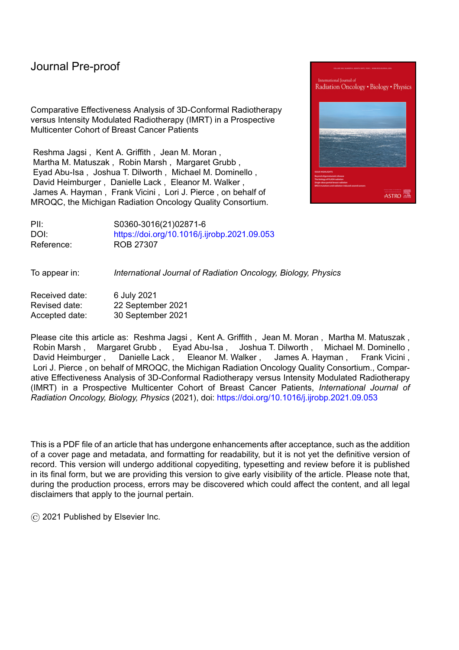Figure 1: Flow of patients into the study sample

This figure shows how patients were selected for inclusion in the analytic sample.

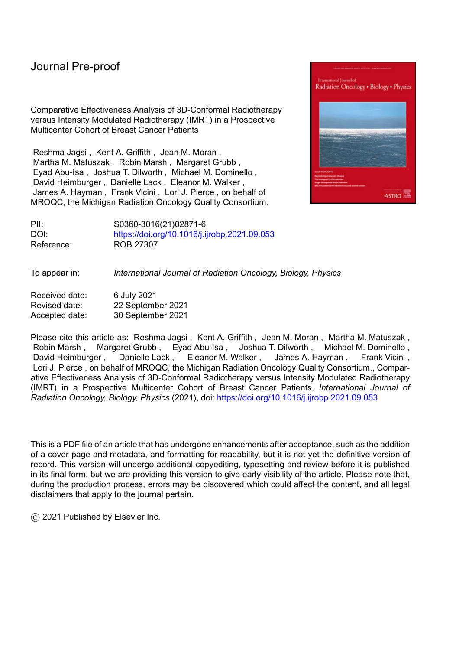Figure 2: Distribution of the use of the treatment techniques by enrolling site.

This figure shows the use of the three forms of treatment (3DCRT, highly-segmented forward-planned IMRT, and inverse-planned IMRT) in patients treated with each fractionation approach.

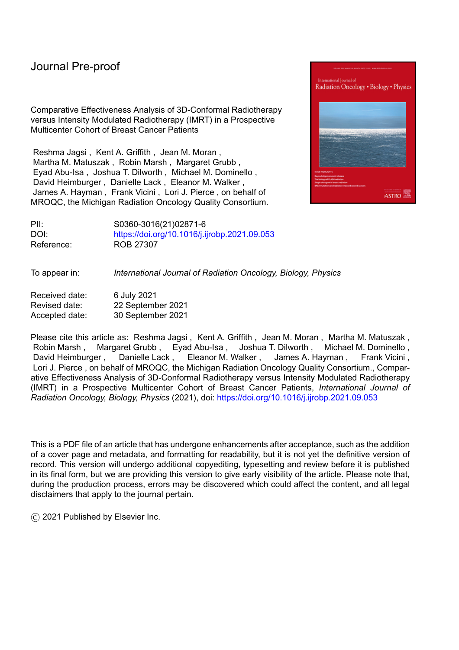Figure 3: Forest Plot of Multivariable Model of Acute Toxicity Among Patients Treated with Conventional Fractionation.

Using the inverse-probability-of-treatment-weighted sample of patients treated with conventional fractionation, this model considers the binary outcome of acute toxicity (having moist desquamation or moderate or severe pain) using the logit link for the binomial distribution in order to determine the association with treatment technique, estimated as odds ratios, after adjustment for all covariates and including the institution of treatment as a random effect.



\* Model uses IPTW, covariate adjustment, and includes hospital site as random effect.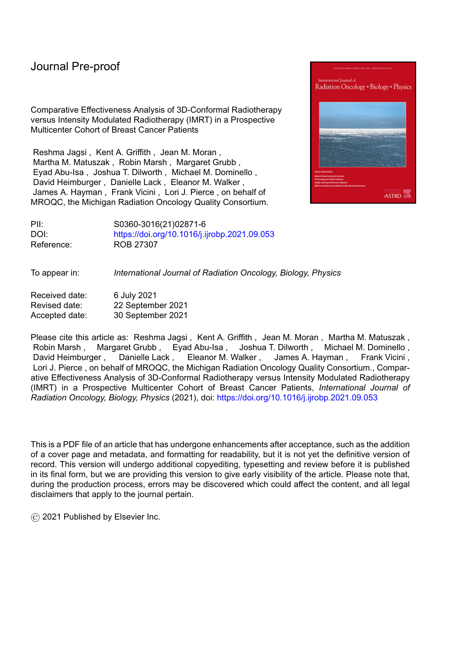Figure 4: Forest Plot of Multivariable Model of Acute Toxicity Among Patients Treated with Hypofractionation.

Using the inverse-probability-of-treatment-weighted sample of patients treated with hypofractionation, this model considers the binary outcome of acute toxicity (having moist desquamation or moderate or severe pain) using the logit link for the binomial distribution in order to determine the association with treatment technique, estimated as odds ratios, after adjustment for all covariates and including the institution of treatment as a random effect.



\*Model uses IPTW, covariate adjustment, and includes hospital site as random effect.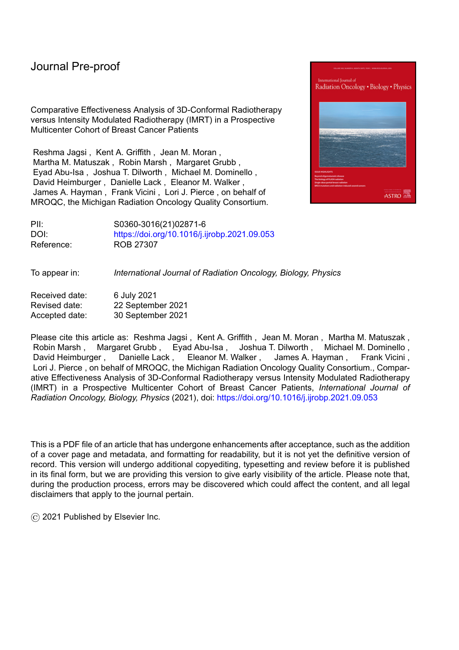### Journal Pre-proo

### **References**

- <sup>1</sup> Mukesh M, Barnett G, Wilkinson J, et al: Randomized Controlled Trial of Intensity-Modulated Radiotherapy for Early Breast Cancer: 5-Year Results Confirm Superior Overall Cosmesis. *J Clin Oncol* 2013;31(36):448864495.
- <sup>2</sup> Pignol J-P, Olivotto I, Rakovitch E, et al: A Multicenter Randomized Trial of Breast Intensity-Modulated Radiation Therapy to Reduce Acute Radiation Dermatitis. *J Clin Oncol* 2008;26(13):208562092.
- <sup>3</sup> Centers for Medicare & Medicaid Services: Fee Schedules General Information. Page last updated: 03-02-2021. https://www.cms.gov/Medicare/Medicare-Feefor-Service-Payment/FeeScheduleGenInfo.
- <sup>4</sup> Jagsi R, Griffith KA, Moran JM, et al: A Randomized Comparison of Radiation Therapy Techniques in the Management of Node-Positive Breast Cancer: Primary Outcomes Analysis. *Int J Radiat Oncol Biol Phys* 2018;101(5):114961158.
- <sup>5</sup> Smith BD, Pan I-W, Shih Y-CT, et al: Adoption of intensity-modulated radiation therapy for breast cancer in the United States. *J Natl Cancer Inst* 2011;103(10):7986 809.
- <sup>6</sup> Choi KH, Ahn SJ, Jeong JU, et al. Postoperative radiotherapy with intensitymodulated radiation therapy versus 3-dimensional conformal radiotherapy in early breast cancer: A randomized clinical trial of KROG 15-03. *Radiother Oncol.* 2021;154:179-186.
- <sup>7</sup> [Anonymized for Review]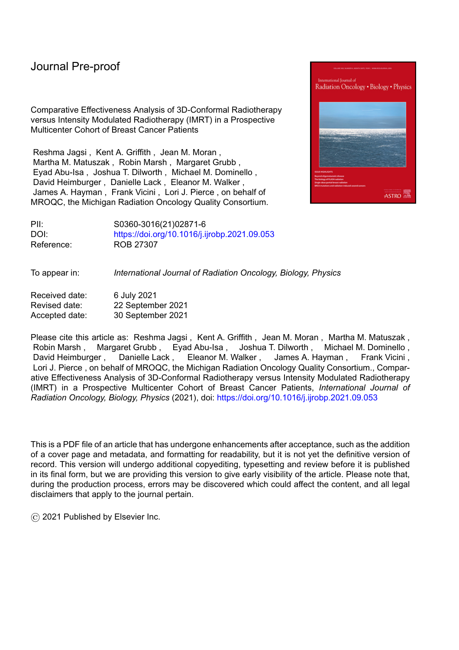### Iournal Pre-proo

- <sup>8</sup> Roberts KB, Soulos PR, Herrin J, et al: The adoption of new adjuvant radiation therapy modalities among Medicare beneficiaries with breast cancer: clinical correlates and cost implications. *Int J Radiat Oncol Biol Phys* 2013;85(5):118661192.
- <sup>9</sup> Wang EH, Mougalian SS, Soulos PR, et al: Adoption of intensity modulated radiation therapy for early-stage breast cancer from 2004 through 2011. *Int J Radiat Oncol Biol Phys* 2015;91(2):3036311.
- <sup>10</sup> [Anonymized for Review]

- <sup>11</sup> [Anonymized for Review]
- <sup>12</sup> [Anonymized for Review]
- <sup>13</sup> Cleeland CS, Ryan KM: Pain assessment: global use of the Brief Pain Inventory. *Ann*  Acad Med Singap 1994;23(2):1296138.
- 14 Leiuk"T." I tkhhkvj"MC."Xkekpk"H."gv"cn<"Vqyctf"Kortqxkpi"Rcvkgpvuø"Gzrgtkgpegu"qh" Acute Toxicity From Breast Radiotherapy: Insights From the Analysis of Patient-Reported Outcomes in a Large Multicenter Cohort. *J Clin Oncol* 202;38(34):40196 4029.
- <sup>15</sup> Jagsi R, Griffith KA, Boike TP, et al: Differences in the Acute Toxic Effects of Breast Radiotherapy by Fractionation Schedule: Comparative Analysis of Physician-Assessed and Patient-Reported Outcomes in a Large Multicenter Cohort. *JAMA Oncol* 2015;1(7):918.
- <sup>16</sup> Arsenault J, Parpia S, Goldberg M, et al: Acute Toxicity and Quality of Life of Hypofractionated Radiation Therapy for Breast Cancer. *Int J Radiat Oncol Biol Phys* 2020;107(5):943±948.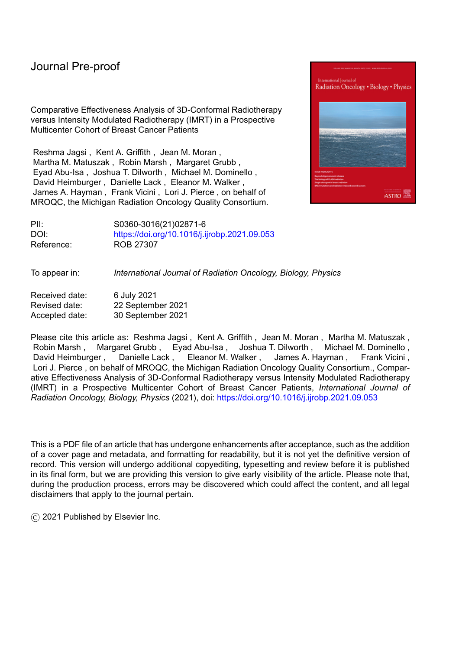### Journal Pre-proo

<sup>17</sup> Austin PC, Stuart EA. Moving towards best practice when using inverse probability of treatment weighting (IPTW) using the propensity score to estimate causal treatment effects in observational studies. *Stat Med*. 2015;34(28):3661-3679.

- <sup>18</sup> Harsolia A, Kestin L, Grills I, et al: Intensity-Modulated Radiotherapy Results in Significant Decrease in Clinical Toxicities Compared with Conventional Wedge-Based Breast Radiotherapy. *Int J Radiat Oncol Biol Phys* 2007;8(5):137561380.
- <sup>19</sup> McDonald MW, Godette KD, Butker EK, et al: Long-Term Outcomes of IMRT for Breast Cancer: A Single-Institution Cohort Analysis. *Int J Radiat Oncol Biol Phys* 2008;72(4):103161040.
- <sup>20</sup> Hardee ME, Raza S, Becker SJ, et al: Prone Hypofractionated Whole-Breast Radiotherapy Without a Boost to the Tumor Bed: Comparable Toxicity of IMRT Versus a 3D Conformal Technique. *Int J Radiat Oncol Biol Phys* 2012;82(3):e415± e423.
- <sup>21</sup> Kestin LL, Sharpe MB, Frazier RC, et al: Intensity modulation to improve dose uniformity with tangential breast radiotherapy: initial clinical experience. *Int J Radiat Oncol Biol Phys* 2000;48(5):1559-1568.
- <sup>22</sup> Vicini FA, Sharpe M, Kestin L, et al: Optimizing breast cancer treatment efficacy with intensity-modulated radiotherapy. *Int J Radiat Oncol Biol Phys* 2002;54(5):1336±1344.
- <sup>23</sup> Farace P, Zucca S, Solla I, et al: Planning Hybrid Intensity Modulated Radiation Therapy for Whole-breast Irradiation. *Int J Radiat Oncol Biol Phys* 2012;84(1):e115± e122.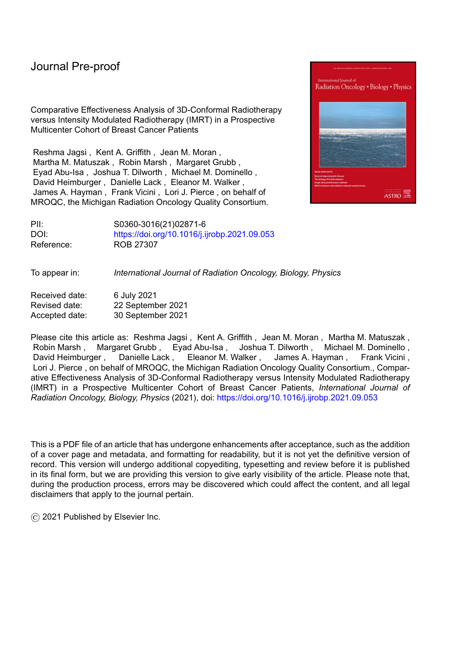<sup>24</sup> Vicini F, Sharpe M, Kestin L, et al: The use of intensity modulated radiation therapy in the treatment of breast cancer: evolving definition, misdirected criticism, and untoward effects. *Int J Radiat Oncol Biol Phys*. 2004;58(5):1642-1644.

- <sup>25</sup> Smith BD, Bellon JR, Blitzblau R, et al: Radiation therapy for the whole breast: Executive summary of an American Society for Radiation Oncology (ASTRO) evidence-based guideline. *Pract Radiat Oncol* 2018;8(3):1456152.
- <sup>26</sup> Patel AK, Ling DC, Richman AH, et al: Hypofractionated Whole-Breast Irradiation in Large-Breasted Women ô Is There a Dosimetric Predictor for Acute Skin Toxicities? *Int J Radiat Oncol Biol Phys* 2019;103(1):71677.
- <sup>27</sup> Pasquier D, Bataille B, Le Tinier F, et al: Correlation between toxicity and dosimetric parameters for adjuvant intensity modulated radiation therapy of breast cancer: a prospective study. *Sci Rep* 2021;11(1):3626.
- <sup>28</sup> Saibishkumar EP, MacKenzie MA, Severin D, et al: Skin-Sparing Radiation Using Intensity-Modulated Radiotherapy After Conservative Surgery in Early-Stage Breast Cancer: A Planning Study. *Int J Radiat Oncol Biol Phys* 2008(2);70:4856491.
- <sup>29</sup> McGale P, Cutter D, Darby SC, et al: Can Observational Data Replace Randomized Trials? *J Clin Oncol* 2016(27);4:335563357.
- <sup>30</sup> Jagsi R, Bekelman JE, Chen A, et al: Considerations for Observational Research Using Large Data Sets in Radiation Oncology. *Int J Radiat Oncol Biol Phys* 2014;90(1):11±24.
- <sup>31</sup> Beckham WA, Popescu CC, Patenaude VV, et al: Is Multibeam IMRT Better Than Standard Treatment for Patients with Left-Sided Breast Cancer? *Int J Radiat Oncol Biol Phys* 2007;69(3):918±924.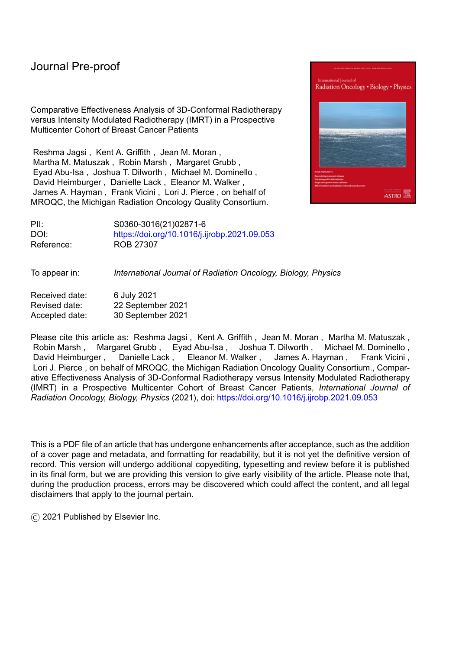<sup>32</sup> Hall EJ, Wuu C-S: Radiation-induced second cancers: the impact of 3D-CRT and IMRT. *Int J Radiat Oncol Biol Phys* 2003;56(1):83±88.

- <sup>33</sup> Jagsi R, Moran J, Marsh R, et al: Evaluation of four techniques using intensitymodulated radiation therapy for comprehensive locoregional irradiation of breast cancer. *Int J Radiat Oncol Biol Phys* 2010;78(5):159461603.
- <sup>34</sup> Ho AY, Ballangrud A, Li G, et al: Long-Term Pulmonary Outcomes of a Feasibility Study of Inverse-Planned, Multibeam Intensity Modulated Radiation Therapy in Node-Positive Breast Cancer Patients Receiving Regional Nodal Irradiation. *Int J Radiat Oncol Biol Phys* 2019;103(5):110061108.
- <sup>35</sup> Bazan JG, Healy E, Beyer S, et al: Clinical Effectiveness of an Adaptive Treatment Planning Algorithm for Intensity Modulated Radiation Therapy Versus 3D Conformal Radiation Therapy for Node-Positive Breast Cancer Patients Undergoing Regional Nodal Irradiation/Postmastectomy Radiation Therapy. *Int J Radiat Oncol Biol Phys 2020;108(5):115961171.*
- <sup>36</sup> Lohr F, El-Haddad M, Dobler B, et al: Potential Effect of Robust and Simple IMRT Approach for Left-Sided Breast Cancer on Cardiac Mortality. *Int J Radiat Oncol Biol*  Phys 2009;74(1):73680.
- <sup>37</sup> Ganju RG, TenNapel M, Chen AM, et al: Impact of Peer Review on Use of Hypofractionated Regimens for Early-Stage Breast Cancer for Patients at a Tertiary Care Academic Medical Center and Its Community-Based Affiliates. J*CO Oncol Pract* 2019;15(2):e1536e161.